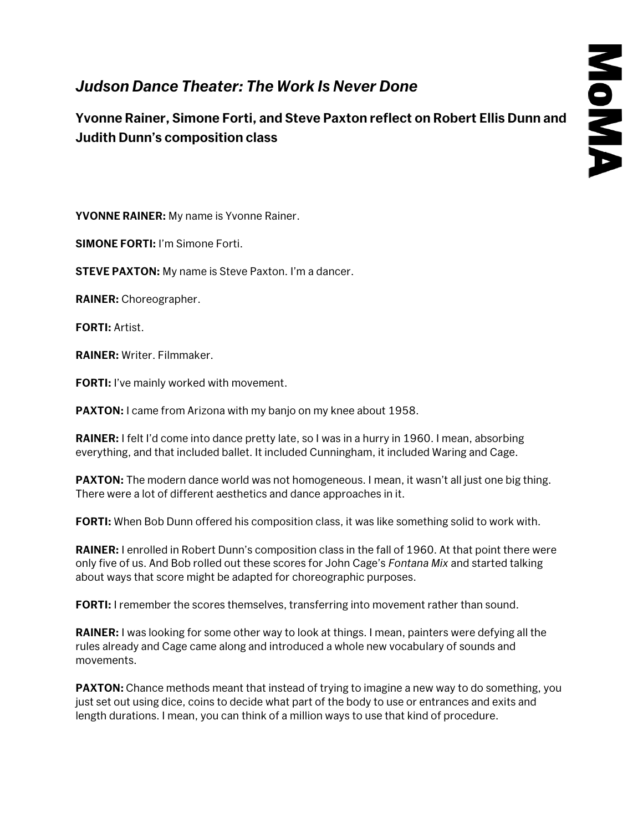## *Judson Dance Theater: The Work Is Never Done*

**Yvonne Rainer, Simone Forti, and Steve Paxton reflect on Robert Ellis Dunn and Judith Dunn's composition class**

**YVONNE RAINER:** My name is Yvonne Rainer.

**SIMONE FORTI:** I'm Simone Forti.

**STEVE PAXTON:** My name is Steve Paxton. I'm a dancer.

**RAINER:** Choreographer.

**FORTI:** Artist.

**RAINER:** Writer. Filmmaker.

**FORTI:** I've mainly worked with movement.

**PAXTON:** I came from Arizona with my banjo on my knee about 1958.

**RAINER:** I felt I'd come into dance pretty late, so I was in a hurry in 1960. I mean, absorbing everything, and that included ballet. It included Cunningham, it included Waring and Cage.

**PAXTON:** The modern dance world was not homogeneous. I mean, it wasn't all just one big thing. There were a lot of different aesthetics and dance approaches in it.

**FORTI:** When Bob Dunn offered his composition class, it was like something solid to work with.

**RAINER:** I enrolled in Robert Dunn's composition class in the fall of 1960. At that point there were only five of us. And Bob rolled out these scores for John Cage's *Fontana Mix* and started talking about ways that score might be adapted for choreographic purposes.

**FORTI:** I remember the scores themselves, transferring into movement rather than sound.

**RAINER:** I was looking for some other way to look at things. I mean, painters were defying all the rules already and Cage came along and introduced a whole new vocabulary of sounds and movements.

**PAXTON:** Chance methods meant that instead of trying to imagine a new way to do something, you just set out using dice, coins to decide what part of the body to use or entrances and exits and length durations. I mean, you can think of a million ways to use that kind of procedure.